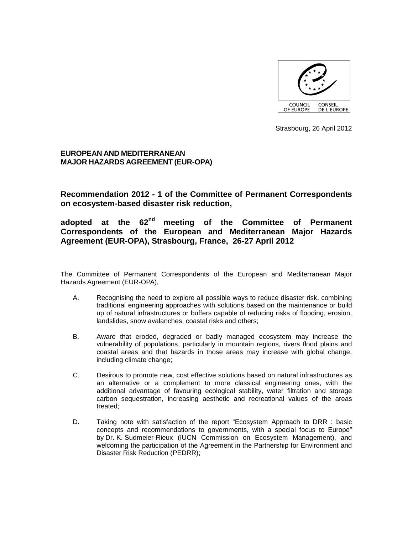

Strasbourg, 26 April 2012

# **EUROPEAN AND MEDITERRANEAN MAJOR HAZARDS AGREEMENT (EUR-OPA)**

**Recommendation 2012 - 1 of the Committee of Permanent Correspondents on ecosystem-based disaster risk reduction,** 

**adopted at the 62nd meeting of the Committee of Permanent Correspondents of the European and Mediterranean Major Hazards Agreement (EUR-OPA), Strasbourg, France, 26-27 April 2012** 

The Committee of Permanent Correspondents of the European and Mediterranean Major Hazards Agreement (EUR-OPA),

- A. Recognising the need to explore all possible ways to reduce disaster risk, combining traditional engineering approaches with solutions based on the maintenance or build up of natural infrastructures or buffers capable of reducing risks of flooding, erosion, landslides, snow avalanches, coastal risks and others;
- B. Aware that eroded, degraded or badly managed ecosystem may increase the vulnerability of populations, particularly in mountain regions, rivers flood plains and coastal areas and that hazards in those areas may increase with global change, including climate change;
- C. Desirous to promote new, cost effective solutions based on natural infrastructures as an alternative or a complement to more classical engineering ones, with the additional advantage of favouring ecological stability, water filtration and storage carbon sequestration, increasing aesthetic and recreational values of the areas treated;
- D. Taking note with satisfaction of the report "Ecosystem Approach to DRR : basic concepts and recommendations to governments, with a special focus to Europe" by Dr. K. Sudmeier-Rieux (IUCN Commission on Ecosystem Management), and welcoming the participation of the Agreement in the Partnership for Environment and Disaster Risk Reduction (PEDRR);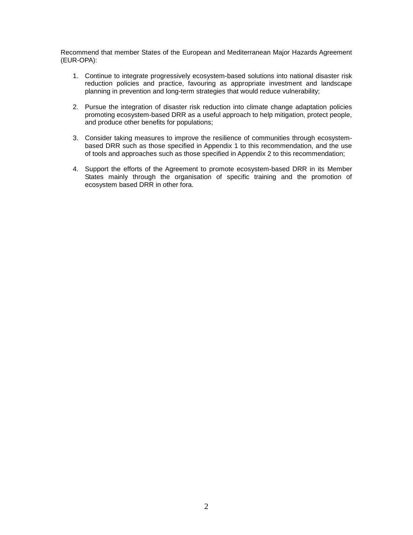Recommend that member States of the European and Mediterranean Major Hazards Agreement (EUR-OPA):

- 1. Continue to integrate progressively ecosystem-based solutions into national disaster risk reduction policies and practice, favouring as appropriate investment and landscape planning in prevention and long-term strategies that would reduce vulnerability;
- 2. Pursue the integration of disaster risk reduction into climate change adaptation policies promoting ecosystem-based DRR as a useful approach to help mitigation, protect people, and produce other benefits for populations;
- 3. Consider taking measures to improve the resilience of communities through ecosystembased DRR such as those specified in Appendix 1 to this recommendation, and the use of tools and approaches such as those specified in Appendix 2 to this recommendation;
- 4. Support the efforts of the Agreement to promote ecosystem-based DRR in its Member States mainly through the organisation of specific training and the promotion of ecosystem based DRR in other fora.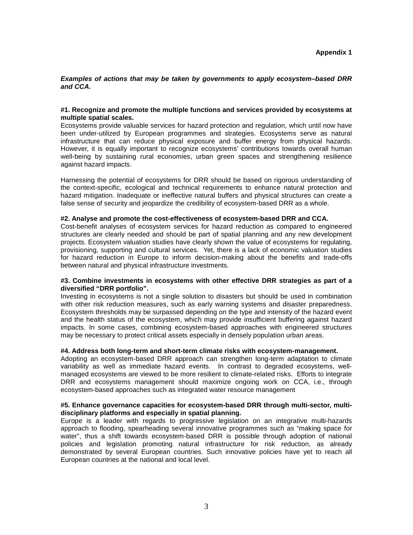## **Examples of actions that may be taken by governments to apply ecosystem–based DRR and CCA.**

#### **#1. Recognize and promote the multiple functions and services provided by ecosystems at multiple spatial scales.**

Ecosystems provide valuable services for hazard protection and regulation, which until now have been under-utilized by European programmes and strategies. Ecosystems serve as natural infrastructure that can reduce physical exposure and buffer energy from physical hazards. However, it is equally important to recognize ecosystems' contributions towards overall human well-being by sustaining rural economies, urban green spaces and strengthening resilience against hazard impacts.

Harnessing the potential of ecosystems for DRR should be based on rigorous understanding of the context-specific, ecological and technical requirements to enhance natural protection and hazard mitigation. Inadequate or ineffective natural buffers and physical structures can create a false sense of security and jeopardize the credibility of ecosystem-based DRR as a whole.

## **#2. Analyse and promote the cost-effectiveness of ecosystem-based DRR and CCA.**

Cost-benefit analyses of ecosystem services for hazard reduction as compared to engineered structures are clearly needed and should be part of spatial planning and any new development projects. Ecosystem valuation studies have clearly shown the value of ecosystems for regulating, provisioning, supporting and cultural services. Yet, there is a lack of economic valuation studies for hazard reduction in Europe to inform decision-making about the benefits and trade-offs between natural and physical infrastructure investments.

## **#3. Combine investments in ecosystems with other effective DRR strategies as part of a diversified "DRR portfolio".**

Investing in ecosystems is not a single solution to disasters but should be used in combination with other risk reduction measures, such as early warning systems and disaster preparedness. Ecosystem thresholds may be surpassed depending on the type and intensity of the hazard event and the health status of the ecosystem, which may provide insufficient buffering against hazard impacts. In some cases, combining ecosystem-based approaches with engineered structures may be necessary to protect critical assets especially in densely population urban areas.

## **#4. Address both long-term and short-term climate risks with ecosystem-management.**

Adopting an ecosystem-based DRR approach can strengthen long-term adaptation to climate variability as well as immediate hazard events. In contrast to degraded ecosystems, wellmanaged ecosystems are viewed to be more resilient to climate-related risks. Efforts to integrate DRR and ecosystems management should maximize ongoing work on CCA, i.e., through ecosystem-based approaches such as integrated water resource management

## **#5. Enhance governance capacities for ecosystem-based DRR through multi-sector, multidisciplinary platforms and especially in spatial planning.**

Europe is a leader with regards to progressive legislation on an integrative multi-hazards approach to flooding, spearheading several innovative programmes such as "making space for water", thus a shift towards ecosystem-based DRR is possible through adoption of national policies and legislation promoting natural infrastructure for risk reduction, as already demonstrated by several European countries. Such innovative policies have yet to reach all European countries at the national and local level.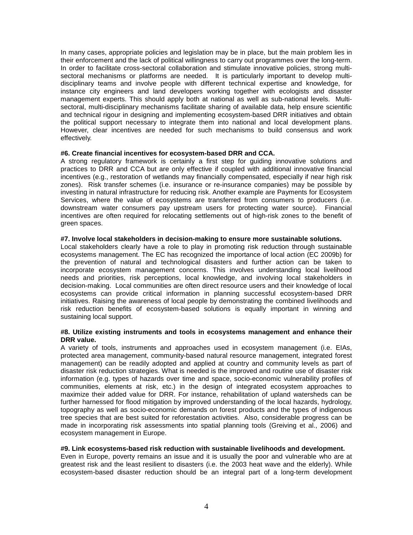In many cases, appropriate policies and legislation may be in place, but the main problem lies in their enforcement and the lack of political willingness to carry out programmes over the long-term. In order to facilitate cross-sectoral collaboration and stimulate innovative policies, strong multisectoral mechanisms or platforms are needed. It is particularly important to develop multidisciplinary teams and involve people with different technical expertise and knowledge, for instance city engineers and land developers working together with ecologists and disaster management experts. This should apply both at national as well as sub-national levels. Multisectoral, multi-disciplinary mechanisms facilitate sharing of available data, help ensure scientific and technical rigour in designing and implementing ecosystem-based DRR initiatives and obtain the political support necessary to integrate them into national and local development plans. However, clear incentives are needed for such mechanisms to build consensus and work effectively.

#### **#6. Create financial incentives for ecosystem-based DRR and CCA.**

A strong regulatory framework is certainly a first step for guiding innovative solutions and practices to DRR and CCA but are only effective if coupled with additional innovative financial incentives (e.g., restoration of wetlands may financially compensated, especially if near high risk zones). Risk transfer schemes (i.e. insurance or re-insurance companies) may be possible by investing in natural infrastructure for reducing risk. Another example are Payments for Ecosystem Services, where the value of ecosystems are transferred from consumers to producers (i.e. downstream water consumers pay upstream users for protecting water source). Financial incentives are often required for relocating settlements out of high-risk zones to the benefit of green spaces.

#### **#7. Involve local stakeholders in decision-making to ensure more sustainable solutions.**

Local stakeholders clearly have a role to play in promoting risk reduction through sustainable ecosystems management. The EC has recognized the importance of local action (EC 2009b) for the prevention of natural and technological disasters and further action can be taken to incorporate ecosystem management concerns. This involves understanding local livelihood needs and priorities, risk perceptions, local knowledge, and involving local stakeholders in decision-making. Local communities are often direct resource users and their knowledge of local ecosystems can provide critical information in planning successful ecosystem-based DRR initiatives. Raising the awareness of local people by demonstrating the combined livelihoods and risk reduction benefits of ecosystem-based solutions is equally important in winning and sustaining local support.

#### **#8. Utilize existing instruments and tools in ecosystems management and enhance their DRR value.**

A variety of tools, instruments and approaches used in ecosystem management (i.e. EIAs, protected area management, community-based natural resource management, integrated forest management) can be readily adopted and applied at country and community levels as part of disaster risk reduction strategies. What is needed is the improved and routine use of disaster risk information (e.g. types of hazards over time and space, socio-economic vulnerability profiles of communities, elements at risk, etc.) in the design of integrated ecosystem approaches to maximize their added value for DRR. For instance, rehabilitation of upland watersheds can be further harnessed for flood mitigation by improved understanding of the local hazards, hydrology, topography as well as socio-economic demands on forest products and the types of indigenous tree species that are best suited for reforestation activities. Also, considerable progress can be made in incorporating risk assessments into spatial planning tools (Greiving et al., 2006) and ecosystem management in Europe.

#### **#9. Link ecosystems-based risk reduction with sustainable livelihoods and development.**

Even in Europe, poverty remains an issue and it is usually the poor and vulnerable who are at greatest risk and the least resilient to disasters (i.e. the 2003 heat wave and the elderly). While ecosystem-based disaster reduction should be an integral part of a long-term development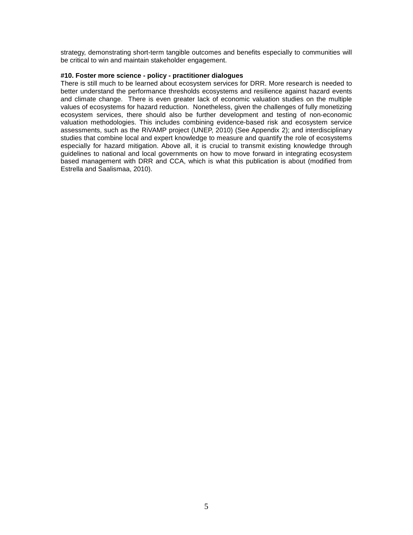strategy, demonstrating short-term tangible outcomes and benefits especially to communities will be critical to win and maintain stakeholder engagement.

# **#10. Foster more science - policy - practitioner dialogues**

There is still much to be learned about ecosystem services for DRR. More research is needed to better understand the performance thresholds ecosystems and resilience against hazard events and climate change. There is even greater lack of economic valuation studies on the multiple values of ecosystems for hazard reduction. Nonetheless, given the challenges of fully monetizing ecosystem services, there should also be further development and testing of non-economic valuation methodologies. This includes combining evidence-based risk and ecosystem service assessments, such as the RiVAMP project (UNEP, 2010) (See Appendix 2); and interdisciplinary studies that combine local and expert knowledge to measure and quantify the role of ecosystems especially for hazard mitigation. Above all, it is crucial to transmit existing knowledge through guidelines to national and local governments on how to move forward in integrating ecosystem based management with DRR and CCA, which is what this publication is about (modified from Estrella and Saalismaa, 2010).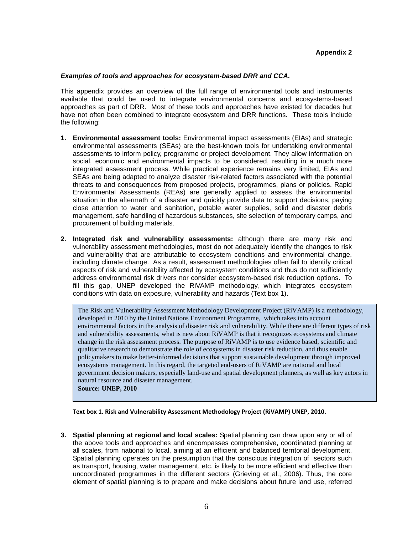## **Appendix 2**

#### **Examples of tools and approaches for ecosystem-based DRR and CCA.**

This appendix provides an overview of the full range of environmental tools and instruments available that could be used to integrate environmental concerns and ecosystems-based approaches as part of DRR. Most of these tools and approaches have existed for decades but have not often been combined to integrate ecosystem and DRR functions. These tools include the following:

- **1. Environmental assessment tools:** Environmental impact assessments (EIAs) and strategic environmental assessments (SEAs) are the best-known tools for undertaking environmental assessments to inform policy, programme or project development. They allow information on social, economic and environmental impacts to be considered, resulting in a much more integrated assessment process. While practical experience remains very limited, EIAs and SEAs are being adapted to analyze disaster risk-related factors associated with the potential threats to and consequences from proposed projects, programmes, plans or policies. Rapid Environmental Assessments (REAs) are generally applied to assess the environmental situation in the aftermath of a disaster and quickly provide data to support decisions, paying close attention to water and sanitation, potable water supplies, solid and disaster debris management, safe handling of hazardous substances, site selection of temporary camps, and procurement of building materials.
- **2. Integrated risk and vulnerability assessments:** although there are many risk and vulnerability assessment methodologies, most do not adequately identify the changes to risk and vulnerability that are attributable to ecosystem conditions and environmental change, including climate change. As a result, assessment methodologies often fail to identify critical aspects of risk and vulnerability affected by ecosystem conditions and thus do not sufficiently address environmental risk drivers nor consider ecosystem-based risk reduction options. To fill this gap, UNEP developed the RiVAMP methodology, which integrates ecosystem conditions with data on exposure, vulnerability and hazards (Text box 1).

The Risk and Vulnerability Assessment Methodology Development Project (RiVAMP) is a methodology, developed in 2010 by the United Nations Environment Programme, which takes into account environmental factors in the analysis of disaster risk and vulnerability. While there are different types of risk and vulnerability assessments, what is new about RiVAMP is that it recognizes ecosystems and climate change in the risk assessment process. The purpose of RiVAMP is to use evidence based, scientific and qualitative research to demonstrate the role of ecosystems in disaster risk reduction, and thus enable policymakers to make better-informed decisions that support sustainable development through improved ecosystems management. In this regard, the targeted end-users of RiVAMP are national and local government decision makers, especially land-use and spatial development planners, as well as key actors in natural resource and disaster management.

**Source: UNEP, 2010** 

**Text box 1. Risk and Vulnerability Assessment Methodology Project (RiVAMP) UNEP, 2010.** 

**3. Spatial planning at regional and local scales:** Spatial planning can draw upon any or all of the above tools and approaches and encompasses comprehensive, coordinated planning at all scales, from national to local, aiming at an efficient and balanced territorial development. Spatial planning operates on the presumption that the conscious integration of sectors such as transport, housing, water management, etc. is likely to be more efficient and effective than uncoordinated programmes in the different sectors (Grieving et al., 2006). Thus, the core element of spatial planning is to prepare and make decisions about future land use, referred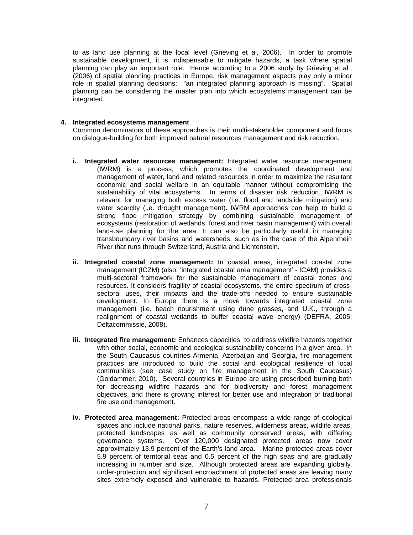to as land use planning at the local level (Grieving et al, 2006). In order to promote sustainable development, it is indispensable to mitigate hazards, a task where spatial planning can play an important role. Hence according to a 2006 study by Grieving et al., (2006) of spatial planning practices in Europe, risk management aspects play only a minor role in spatial planning decisions: "an integrated planning approach is missing". Spatial planning can be considering the master plan into which ecosystems management can be integrated.

# **4. Integrated ecosystems management**

Common denominators of these approaches is their multi-stakeholder component and focus on dialogue-building for both improved natural resources management and risk reduction.

- **i. Integrated water resources management:** Integrated water resource management (IWRM) is a process, which promotes the coordinated development and management of water, land and related resources in order to maximize the resultant economic and social welfare in an equitable manner without compromising the sustainability of vital ecosystems. In terms of disaster risk reduction, IWRM is relevant for managing both excess water (i.e. flood and landslide mitigation) and water scarcity (i.e. drought management). IWRM approaches can help to build a strong flood mitigation strategy by combining sustainable management of ecosystems (restoration of wetlands, forest and river basin management) with overall land-use planning for the area. It can also be particularly useful in managing transboundary river basins and watersheds, such as in the case of the Alpenrhein River that runs through Switzerland, Austria and Lichtenstein.
- **ii. Integrated coastal zone management:** In coastal areas, integrated coastal zone management (ICZM) (also, 'integrated coastal area management' - ICAM) provides a multi-sectoral framework for the sustainable management of coastal zones and resources. It considers fragility of coastal ecosystems, the entire spectrum of crosssectoral uses, their impacts and the trade-offs needed to ensure sustainable development. In Europe there is a move towards integrated coastal zone management (i.e. beach nourishment using dune grasses, and U.K., through a realignment of coastal wetlands to buffer coastal wave energy) (DEFRA, 2005; Deltacommissie, 2008).
- **iii. Integrated fire management:** Enhances capacities to address wildfire hazards together with other social, economic and ecological sustainability concerns in a given area. In the South Caucasus countries Armenia, Azerbaijan and Georgia, fire management practices are introduced to build the social and ecological resilience of local communities (see case study on fire management in the South Caucasus) (Goldammer, 2010). Several countries in Europe are using prescribed burning both for decreasing wildfire hazards and for biodiversity and forest management objectives, and there is growing interest for better use and integration of traditional fire use and management.
- **iv. Protected area management:** Protected areas encompass a wide range of ecological spaces and include national parks, nature reserves, wilderness areas, wildlife areas, protected landscapes as well as community conserved areas, with differing governance systems. Over 120,000 designated protected areas now cover approximately 13.9 percent of the Earth's land area. Marine protected areas cover 5.9 percent of territorial seas and 0.5 percent of the high seas and are gradually increasing in number and size. Although protected areas are expanding globally, under-protection and significant encroachment of protected areas are leaving many sites extremely exposed and vulnerable to hazards. Protected area professionals